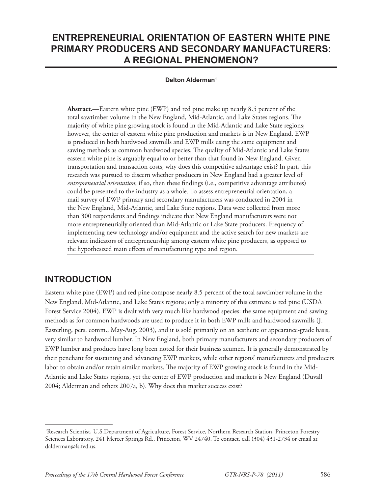# **ENTREPRENEURIAL ORIENTATION OF EASTERN WHITE PINE PRIMARY PRODUCERS AND SECONDARY MANUFACTURERS: A REGIONAL PHENOMENON?**

#### **Delton Alderman1**

**Abstract.**—Eastern white pine (EWP) and red pine make up nearly 8.5 percent of the total sawtimber volume in the New England, Mid-Atlantic, and Lake States regions. The majority of white pine growing stock is found in the Mid-Atlantic and Lake State regions; however, the center of eastern white pine production and markets is in New England. EWP is produced in both hardwood sawmills and EWP mills using the same equipment and sawing methods as common hardwood species. The quality of Mid-Atlantic and Lake States eastern white pine is arguably equal to or better than that found in New England. Given transportation and transaction costs, why does this competitive advantage exist? In part, this research was pursued to discern whether producers in New England had a greater level of *entrepreneurial orientation*; if so, then these findings (i.e., competitive advantage attributes) could be presented to the industry as a whole. To assess entrepreneurial orientation, a mail survey of EWP primary and secondary manufacturers was conducted in 2004 in the New England, Mid-Atlantic, and Lake State regions. Data were collected from more than 300 respondents and findings indicate that New England manufacturers were not more entrepreneurially oriented than Mid-Atlantic or Lake State producers. Frequency of implementing new technology and/or equipment and the active search for new markets are relevant indicators of entrepreneurship among eastern white pine producers, as opposed to the hypothesized main effects of manufacturing type and region.

## **INTRODUCTION**

Eastern white pine (EWP) and red pine compose nearly 8.5 percent of the total sawtimber volume in the New England, Mid-Atlantic, and Lake States regions; only a minority of this estimate is red pine (USDA Forest Service 2004). EWP is dealt with very much like hardwood species: the same equipment and sawing methods as for common hardwoods are used to produce it in both EWP mills and hardwood sawmills (J. Easterling, pers. comm., May-Aug. 2003), and it is sold primarily on an aesthetic or appearance-grade basis, very similar to hardwood lumber. In New England, both primary manufacturers and secondary producers of EWP lumber and products have long been noted for their business acumen. It is generally demonstrated by their penchant for sustaining and advancing EWP markets, while other regions' manufacturers and producers labor to obtain and/or retain similar markets. The majority of EWP growing stock is found in the Mid-Atlantic and Lake States regions, yet the center of EWP production and markets is New England (Duvall 2004; Alderman and others 2007a, b). Why does this market success exist?

<sup>&</sup>lt;sup>1</sup>Research Scientist, U.S.Department of Agriculture, Forest Service, Northern Research Station, Princeton Forestry Sciences Laboratory, 241 Mercer Springs Rd., Princeton, WV 24740. To contact, call (304) 431-2734 or email at dalderman@fs.fed.us.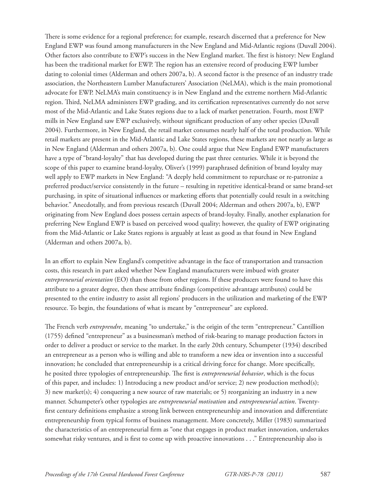There is some evidence for a regional preference; for example, research discerned that a preference for New England EWP was found among manufacturers in the New England and Mid-Atlantic regions (Duvall 2004). Other factors also contribute to EWP's success in the New England market. The first is history: New England has been the traditional market for EWP. The region has an extensive record of producing EWP lumber dating to colonial times (Alderman and others 2007a, b). A second factor is the presence of an industry trade association, the Northeastern Lumber Manufacturers' Association (NeLMA), which is the main promotional advocate for EWP. NeLMA's main constituency is in New England and the extreme northern Mid-Atlantic region. Third, NeLMA administers EWP grading, and its certification representatives currently do not serve most of the Mid-Atlantic and Lake States regions due to a lack of market penetration. Fourth, most EWP mills in New England saw EWP exclusively, without significant production of any other species (Duvall 2004). Furthermore, in New England, the retail market consumes nearly half of the total production. While retail markets are present in the Mid-Atlantic and Lake States regions, these markets are not nearly as large as in New England (Alderman and others 2007a, b). One could argue that New England EWP manufacturers have a type of "brand-loyalty" that has developed during the past three centuries. While it is beyond the scope of this paper to examine brand-loyalty, Oliver's (1999) paraphrased definition of brand loyalty may well apply to EWP markets in New England: "A deeply held commitment to repurchase or re-patronize a preferred product/service consistently in the future – resulting in repetitive identical-brand or same brand-set purchasing, in spite of situational influences or marketing efforts that potentially could result in a switching behavior." Anecdotally, and from previous research (Duvall 2004; Alderman and others 2007a, b), EWP originating from New England does possess certain aspects of brand-loyalty. Finally, another explanation for preferring New England EWP is based on perceived wood quality; however, the quality of EWP originating from the Mid-Atlantic or Lake States regions is arguably at least as good as that found in New England (Alderman and others 2007a, b).

In an effort to explain New England's competitive advantage in the face of transportation and transaction costs, this research in part asked whether New England manufacturers were imbued with greater *entrepreneurial orientation* (EO) than those from other regions. If these producers were found to have this attribute to a greater degree, then these attribute findings (competitive advantage attributes) could be presented to the entire industry to assist all regions' producers in the utilization and marketing of the EWP resource. To begin, the foundations of what is meant by "entrepreneur" are explored.

The French verb *entreprendre*, meaning "to undertake," is the origin of the term "entrepreneur." Cantillion (1755) defined "entrepreneur" as a businessman's method of risk-bearing to manage production factors in order to deliver a product or service to the market. In the early 20th century, Schumpeter (1934) described an entrepreneur as a person who is willing and able to transform a new idea or invention into a successful innovation; he concluded that entrepreneurship is a critical driving force for change. More specifically, he posited three typologies of entrepreneurship. The first is *entrepreneurial behavior*, which is the focus of this paper, and includes: 1) Introducing a new product and/or service; 2) new production method(s); 3) new market(s); 4) conquering a new source of raw materials; or 5) reorganizing an industry in a new manner. Schumpeter's other typologies are *entrepreneurial motivation* and *entrepreneurial action*. Twentyfirst century definitions emphasize a strong link between entrepreneurship and innovation and differentiate entrepreneurship from typical forms of business management. More concretely, Miller (1983) summarized the characteristics of an entrepreneurial firm as "one that engages in product market innovation, undertakes somewhat risky ventures, and is first to come up with proactive innovations . . ." Entrepreneurship also is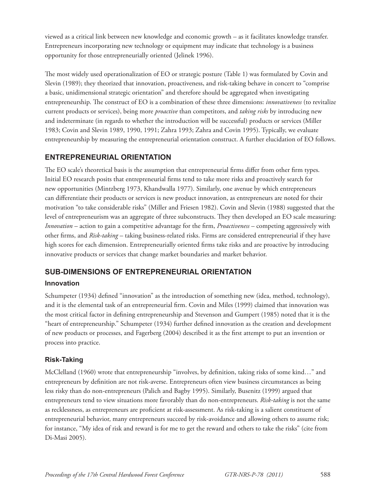viewed as a critical link between new knowledge and economic growth – as it facilitates knowledge transfer. Entrepreneurs incorporating new technology or equipment may indicate that technology is a business opportunity for those entrepreneurially oriented (Jelinek 1996).

The most widely used operationalization of EO or strategic posture (Table 1) was formulated by Covin and Slevin (1989); they theorized that innovation, proactiveness, and risk-taking behave in concert to "comprise a basic, unidimensional strategic orientation" and therefore should be aggregated when investigating entrepreneurship. The construct of EO is a combination of these three dimensions: *innovativeness* (to revitalize current products or services), being more *proactive* than competitors, and *taking risks* by introducing new and indeterminate (in regards to whether the introduction will be successful) products or services (Miller 1983; Covin and Slevin 1989, 1990, 1991; Zahra 1993; Zahra and Covin 1995). Typically, we evaluate entrepreneurship by measuring the entrepreneurial orientation construct. A further elucidation of EO follows.

### **ENTREPRENEURIAL ORIENTATION**

The EO scale's theoretical basis is the assumption that entrepreneurial firms differ from other firm types. Initial EO research posits that entrepreneurial firms tend to take more risks and proactively search for new opportunities (Mintzberg 1973, Khandwalla 1977). Similarly, one avenue by which entrepreneurs can differentiate their products or services is new product innovation, as entrepreneurs are noted for their motivation "to take considerable risks" (Miller and Friesen 1982). Covin and Slevin (1988) suggested that the level of entrepreneurism was an aggregate of three subconstructs. They then developed an EO scale measuring: *Innovation* – action to gain a competitive advantage for the firm, *Proactiveness* – competing aggressively with other firms, and *Risk-taking* – taking business-related risks. Firms are considered entrepreneurial if they have high scores for each dimension. Entrepreneurially oriented firms take risks and are proactive by introducing innovative products or services that change market boundaries and market behavior.

### **SUB-DIMENSIONS OF ENTREPRENEURIAL ORIENTATION**

#### **Innovation**

Schumpeter (1934) defined "innovation" as the introduction of something new (idea, method, technology), and it is the elemental task of an entrepreneurial firm. Covin and Miles (1999) claimed that innovation was the most critical factor in defining entrepreneurship and Stevenson and Gumpert (1985) noted that it is the "heart of entrepreneurship." Schumpeter (1934) further defined innovation as the creation and development of new products or processes, and Fagerberg (2004) described it as the first attempt to put an invention or process into practice.

#### **Risk-Taking**

McClelland (1960) wrote that entrepreneurship "involves, by definition, taking risks of some kind..." and entrepreneurs by definition are not risk-averse. Entrepreneurs often view business circumstances as being less risky than do non-entrepreneurs (Palich and Bagby 1995). Similarly, Busenitz (1999) argued that entrepreneurs tend to view situations more favorably than do non-entrepreneurs. *Risk-taking* is not the same as recklessness, as entrepreneurs are proficient at risk-assessment. As risk-taking is a salient constituent of entrepreneurial behavior, many entrepreneurs succeed by risk-avoidance and allowing others to assume risk; for instance, "My idea of risk and reward is for me to get the reward and others to take the risks" (cite from Di-Masi 2005).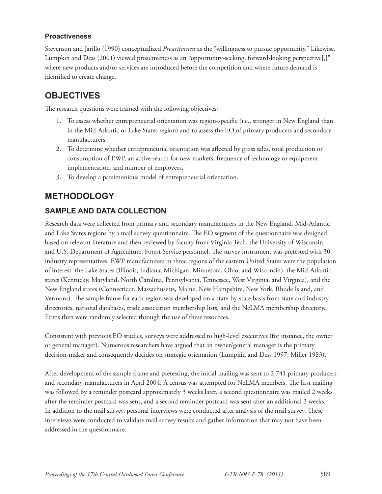#### **Proactiveness**

Stevenson and Jarillo (1990) conceptualized *Proactiveness* as the "willingness to pursue opportunity." Likewise, Lumpkin and Dess (2001) viewed proactiveness as an "opportunity-seeking, forward-looking perspective[,]" where new products and/or services are introduced before the competition and where future demand is identified to create change.

# **OBJECTIVES**

The research questions were framed with the following objectives:

- 1. To assess whether entrepreneurial orientation was region-specific (i.e., stronger in New England than in the Mid-Atlantic or Lake States region) and to assess the EO of primary producers and secondary manufacturers.
- 2. To determine whether entrepreneurial orientation was affected by gross sales, total production or consumption of EWP, an active search for new markets, frequency of technology or equipment implementation, and number of employees.
- 3. To develop a parsimonious model of entrepreneurial orientation.

## **METHODOLOGY**

## **SAMPLE AND DATA COLLECTION**

Research data were collected from primary and secondary manufacturers in the New England, Mid-Atlantic, and Lake States regions by a mail survey questionnaire. The EO segment of the questionnaire was designed based on relevant literature and then reviewed by faculty from Virginia Tech, the University of Wisconsin, and U.S. Department of Agriculture, Forest Service personnel. The survey instrument was pretested with 30 industry representatives. EWP manufacturers in three regions of the eastern United States were the population of interest: the Lake States (Illinois, Indiana, Michigan, Minnesota, Ohio, and Wisconsin), the Mid-Atlantic states (Kentucky, Maryland, North Carolina, Pennsylvania, Tennessee, West Virginia, and Virginia), and the New England states (Connecticut, Massachusetts, Maine, New Hampshire, New York, Rhode Island, and Vermont). The sample frame for each region was developed on a state-by-state basis from state and industry directories, national databases, trade association membership lists, and the NeLMA membership directory. Firms then were randomly selected through the use of these resources.

Consistent with previous EO studies, surveys were addressed to high-level executives (for instance, the owner or general manager). Numerous researchers have argued that an owner/general manager is the primary decision-maker and consequently decides on strategic orientation (Lumpkin and Dess 1997, Miller 1983).

After development of the sample frame and pretesting, the initial mailing was sent to 2,741 primary producers and secondary manufacturers in April 2004. A census was attempted for NeLMA members. The first mailing was followed by a reminder postcard approximately 3 weeks later, a second questionnaire was mailed 2 weeks after the reminder postcard was sent, and a second reminder postcard was sent after an additional 3 weeks. In addition to the mail survey, personal interviews were conducted after analysis of the mail survey. These interviews were conducted to validate mail survey results and gather information that may not have been addressed in the questionnaire.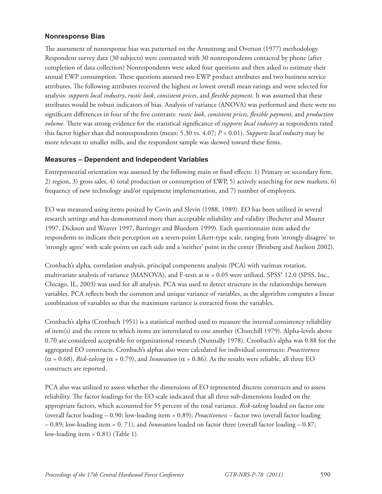### **Nonresponse Bias**

The assessment of nonresponse bias was patterned on the Armstrong and Overton (1977) methodology. Respondent survey data (30 subjects) were contrasted with 30 nonrespondents contacted by phone (after completion of data collection) Nonrespondents were asked four questions and then asked to estimate their annual EWP consumption. These questions assessed two EWP product attributes and two business service attributes. The following attributes received the highest or lowest overall mean ratings and were selected for analysis: *supports local industry, rustic look, consistent prices, and <i>flexible payment*. It was assumed that these attributes would be robust indicators of bias. Analysis of variance (ANOVA) was performed and there were no significant differences in four of the five contrasts: *rustic look*, *consistent prices*, *flexible payment*, and *production volume*. There was strong evidence for the statistical significance of *supports local industry* as respondents rated this factor higher than did nonrespondents (mean: 5.30 vs. 4.07; *P* = 0.01). *Supports local industry* may be more relevant to smaller mills, and the respondent sample was skewed toward these firms.

#### **Measures – Dependent and Independent Variables**

Entrepreneurial orientation was assessed by the following main or fixed effects: 1) Primary or secondary firm, 2) region, 3) gross sales, 4) total production or consumption of EWP, 5) actively searching for new markets, 6) frequency of new technology and/or equipment implementation, and 7) number of employees.

EO was measured using items posited by Covin and Slevin (1988, 1989). EO has been utilized in several research settings and has demonstrated more than acceptable reliability and validity (Becherer and Maurer 1997, Dickson and Weaver 1997, Barringer and Bluedorn 1999). Each questionnaire item asked the respondents to indicate their perception on a seven-point Likert-type scale, ranging from 'strongly disagree' to 'strongly agree' with scale points on each side and a 'neither' point in the center (Brinberg and Axelson 2002).

Cronbach's alpha, correlation analysis, principal components analysis (PCA) with varimax rotation, multivariate analysis of variance (MANOVA), and F-tests at  $\alpha = 0.05$  were utilized. SPSS® 12.0 (SPSS, Inc., Chicago, IL, 2003) was used for all analysis. PCA was used to detect structure in the relationships between variables. PCA reflects both the common and unique variance of variables, as the algorithm computes a linear combination of variables so that the maximum variance is extracted from the variables.

Cronbach's alpha (Cronbach 1951) is a statistical method used to measure the internal consistency reliability of item(s) and the extent to which items are interrelated to one another (Churchill 1979). Alpha-levels above 0.70 are considered acceptable for organizational research (Nunnally 1978). Cronbach's alpha was 0.88 for the aggregated EO constructs. Cronbach's alphas also were calculated for individual constructs: *Proactiveness*  $(\alpha = 0.68)$ , *Risk-taking* ( $\alpha = 0.79$ ), and *Innovation* ( $\alpha = 0.86$ ). As the results were reliable, all three EO constructs are reported.

PCA also was utilized to assess whether the dimensions of EO represented discrete constructs and to assess reliability. The factor loadings for the EO scale indicated that all three sub-dimensions loaded on the appropriate factors, which accounted for 55 percent of the total variance. *Risk-taking* loaded on factor one (overall factor loading – 0.90; low-loading item = 0.89); *Proactiveness* – factor two (overall factor loading – 0.89; low-loading item = 0. 71), and *Innovation* loaded on factor three (overall factor loading – 0.87; low-loading item = 0.81) (Table 1).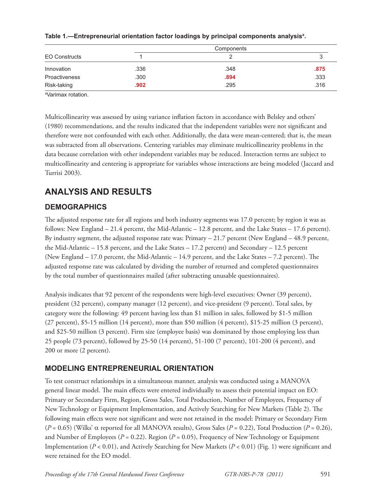| EO Constructs | Components |      |      |  |
|---------------|------------|------|------|--|
|               |            |      |      |  |
| Innovation    | .336       | .348 | .875 |  |
| Proactiveness | .300       | .894 | .333 |  |
| Risk-taking   | .902       | .295 | .316 |  |

| Table 1.—Entrepreneurial orientation factor loadings by principal components analysis <sup>a</sup> . |  |  |
|------------------------------------------------------------------------------------------------------|--|--|
|------------------------------------------------------------------------------------------------------|--|--|

a Varimax rotation.

Multicollinearity was assessed by using variance inflation factors in accordance with Belsley and others' (1980) recommendations, and the results indicated that the independent variables were not significant and therefore were not confounded with each other. Additionally, the data were mean-centered; that is, the mean was subtracted from all observations. Centering variables may eliminate multicollinearity problems in the data because correlation with other independent variables may be reduced. Interaction terms are subject to multicollinearity and centering is appropriate for variables whose interactions are being modeled (Jaccard and Turrisi 2003).

# **ANALYSIS AND RESULTS**

## **DEMOGRAPHICS**

The adjusted response rate for all regions and both industry segments was 17.0 percent; by region it was as follows: New England – 21.4 percent, the Mid-Atlantic – 12.8 percent, and the Lake States – 17.6 percent). By industry segment, the adjusted response rate was: Primary – 21.7 percent (New England – 48.9 percent, the Mid-Atlantic – 15.8 percent, and the Lake States – 17.2 percent) and Secondary – 12.5 percent (New England  $-17.0$  percent, the Mid-Atlantic  $-14.9$  percent, and the Lake States  $-7.2$  percent). The adjusted response rate was calculated by dividing the number of returned and completed questionnaires by the total number of questionnaires mailed (after subtracting unusable questionnaires).

Analysis indicates that 92 percent of the respondents were high-level executives: Owner (39 percent), president (32 percent), company manager (12 percent), and vice-president (9 percent). Total sales, by category were the following: 49 percent having less than \$1 million in sales, followed by \$1-5 million (27 percent), \$5-15 million (14 percent), more than \$50 million (4 percent), \$15-25 million (3 percent), and \$25-50 million (3 percent). Firm size (employee basis) was dominated by those employing less than 25 people (73 percent), followed by 25-50 (14 percent), 51-100 (7 percent), 101-200 (4 percent), and 200 or more (2 percent).

### **MODELING ENTREPRENEURIAL ORIENTATION**

To test construct relationships in a simultaneous manner, analysis was conducted using a MANOVA general linear model. The main effects were entered individually to assess their potential impact on EO: Primary or Secondary Firm, Region, Gross Sales, Total Production, Number of Employees, Frequency of New Technology or Equipment Implementation, and Actively Searching for New Markets (Table 2). The following main effects were not significant and were not retained in the model: Primary or Secondary Firm  $(P = 0.65)$  (Wilks'  $\alpha$  reported for all MANOVA results), Gross Sales ( $P = 0.22$ ), Total Production ( $P = 0.26$ ), and Number of Employees ( $P = 0.22$ ). Region ( $P = 0.05$ ), Frequency of New Technology or Equipment Implementation ( $P < 0.01$ ), and Actively Searching for New Markets ( $P < 0.01$ ) (Fig. 1) were significant and were retained for the EO model.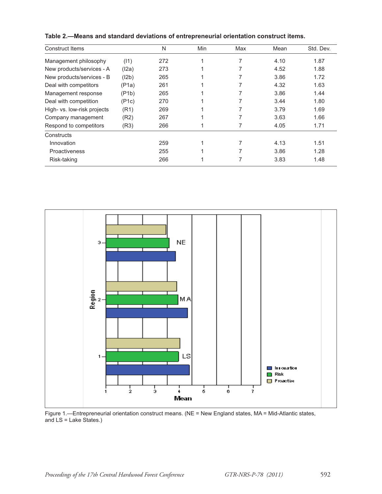| <b>Construct Items</b>      |             | N   | Min | Max | Mean | Std. Dev. |
|-----------------------------|-------------|-----|-----|-----|------|-----------|
| Management philosophy       | (11)        | 272 |     |     | 4.10 | 1.87      |
| New products/services - A   | (12a)       | 273 |     |     | 4.52 | 1.88      |
| New products/services - B   | (12b)       | 265 |     |     | 3.86 | 1.72      |
| Deal with competitors       | (P1a)       | 261 |     | 7   | 4.32 | 1.63      |
| Management response         | (P1b)       | 265 |     |     | 3.86 | 1.44      |
| Deal with competition       | $($ P1c $)$ | 270 |     |     | 3.44 | 1.80      |
| High- vs. low-risk projects | (R1)        | 269 |     |     | 3.79 | 1.69      |
| Company management          | (R2)        | 267 |     |     | 3.63 | 1.66      |
| Respond to competitors      | (R3)        | 266 |     | 7   | 4.05 | 1.71      |
| Constructs                  |             |     |     |     |      |           |
| Innovation                  |             | 259 |     |     | 4.13 | 1.51      |
| <b>Proactiveness</b>        |             | 255 |     |     | 3.86 | 1.28      |
| Risk-taking                 |             | 266 |     |     | 3.83 | 1.48      |

**Table 2.—Means and standard deviations of entrepreneurial orientation construct items.**



Figure 1.—Entrepreneurial orientation construct means. (NE = New England states, MA = Mid-Atlantic states, and LS = Lake States.)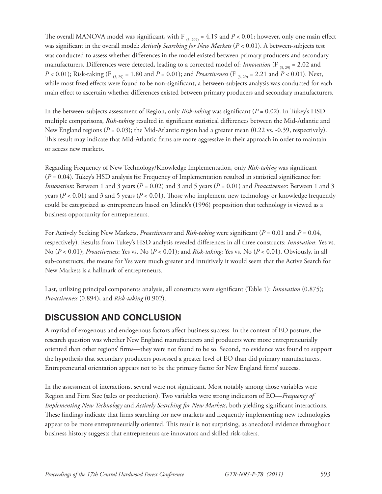The overall MANOVA model was significant, with F  $_{(3, 209)}$  = 4.19 and P < 0.01; however, only one main effect was significant in the overall model: *Actively Searching for New Markets* (P < 0.01). A between-subjects test was conducted to assess whether differences in the model existed between primary producers and secondary manufacturers. Differences were detected, leading to a corrected model of: *Innovation* (F<sub>(3, 29)</sub> = 2.02 and *P* < 0.01); Risk-taking (F<sub>(3, 29)</sub> = 1.80 and *P* = 0.01); and *Proactiveness* (F<sub>(3, 29)</sub> = 2.21 and *P* < 0.01). Next, while most fixed effects were found to be non-significant, a between-subjects analysis was conducted for each main effect to ascertain whether differences existed between primary producers and secondary manufacturers.

In the between-subjects assessment of Region, only *Risk-taking* was significant (*P* = 0.02). In Tukey's HSD multiple comparisons, *Risk-taking* resulted in significant statistical differences between the Mid-Atlantic and New England regions (*P* = 0.03); the Mid-Atlantic region had a greater mean (0.22 vs. -0.39, respectively). This result may indicate that Mid-Atlantic firms are more aggressive in their approach in order to maintain or access new markets.

Regarding Frequency of New Technology/Knowledge Implementation, only *Risk-taking* was significant  $(P = 0.04)$ . Tukey's HSD analysis for Frequency of Implementation resulted in statistical significance for: *Innovation*: Between 1 and 3 years (*P* = 0.02) and 3 and 5 years (*P* = 0.01) and *Proactiveness*: Between 1 and 3 years ( $P < 0.01$ ) and 3 and 5 years ( $P < 0.01$ ). Those who implement new technology or knowledge frequently could be categorized as entrepreneurs based on Jelinek's (1996) proposition that technology is viewed as a business opportunity for entrepreneurs.

For Actively Seeking New Markets, *Proactiveness* and *Risk-taking* were significant (*P* = 0.01 and *P* = 0.04, respectively). Results from Tukey's HSD analysis revealed differences in all three constructs: *Innovation*: Yes vs. No (*P* < 0.01); *Proactiveness*: Yes vs. No (*P* < 0.01); and *Risk-taking*: Yes vs. No (*P* < 0.01). Obviously, in all sub-constructs, the means for Yes were much greater and intuitively it would seem that the Active Search for New Markets is a hallmark of entrepreneurs.

Last, utilizing principal components analysis, all constructs were significant (Table 1): *Innovation* (0.875); *Proactiveness* (0.894); and *Risk-taking* (0.902).

## **DISCUSSION AND CONCLUSION**

A myriad of exogenous and endogenous factors affect business success. In the context of EO posture, the research question was whether New England manufacturers and producers were more entrepreneurially oriented than other regions' firms—they were not found to be so. Second, no evidence was found to support the hypothesis that secondary producers possessed a greater level of EO than did primary manufacturers. Entrepreneurial orientation appears not to be the primary factor for New England firms' success.

In the assessment of interactions, several were not significant. Most notably among those variables were Region and Firm Size (sales or production). Two variables were strong indicators of EO—*Frequency of Implementing New Technology* and *Actively Searching for New Markets*, both yielding significant interactions. These findings indicate that firms searching for new markets and frequently implementing new technologies appear to be more entrepreneurially oriented. This result is not surprising, as anecdotal evidence throughout business history suggests that entrepreneurs are innovators and skilled risk-takers.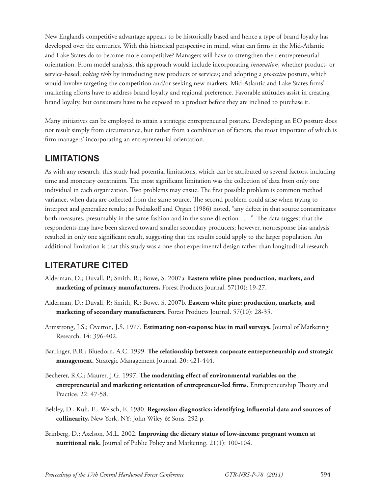New England's competitive advantage appears to be historically based and hence a type of brand loyalty has developed over the centuries. With this historical perspective in mind, what can firms in the Mid-Atlantic and Lake States do to become more competitive? Managers will have to strengthen their entrepreneurial orientation. From model analysis, this approach would include incorporating *innovation*, whether product- or service-based; *taking risks* by introducing new products or services; and adopting a *proactive* posture, which would involve targeting the competition and/or seeking new markets. Mid-Atlantic and Lake States firms' marketing efforts have to address brand loyalty and regional preference. Favorable attitudes assist in creating brand loyalty, but consumers have to be exposed to a product before they are inclined to purchase it.

Many initiatives can be employed to attain a strategic entrepreneurial posture. Developing an EO posture does not result simply from circumstance, but rather from a combination of factors, the most important of which is firm managers' incorporating an entrepreneurial orientation.

## **LIMITATIONS**

As with any research, this study had potential limitations, which can be attributed to several factors, including time and monetary constraints. The most significant limitation was the collection of data from only one individual in each organization. Two problems may ensue. The first possible problem is common method variance, when data are collected from the same source. The second problem could arise when trying to interpret and generalize results; as Podsakoff and Organ (1986) noted, "any defect in that source contaminates both measures, presumably in the same fashion and in the same direction  $\dots$ ". The data suggest that the respondents may have been skewed toward smaller secondary producers; however, nonresponse bias analysis resulted in only one significant result, suggesting that the results could apply to the larger population. An additional limitation is that this study was a one-shot experimental design rather than longitudinal research.

# **LITERATURE CITED**

- Alderman, D.; Duvall, P.; Smith, R.; Bowe, S. 2007a. **Eastern white pine: production, markets, and marketing of primary manufacturers.** Forest Products Journal. 57(10): 19-27.
- Alderman, D.; Duvall, P.; Smith, R.; Bowe, S. 2007b. **Eastern white pine: production, markets, and marketing of secondary manufacturers.** Forest Products Journal. 57(10): 28-35.
- Armstrong, J.S.; Overton, J.S. 1977. **Estimating non-response bias in mail surveys.** Journal of Marketing Research. 14: 396-402.
- Barringer, B.R.; Bluedorn, A.C. 1999. **The relationship between corporate entrepreneurship and strategic management.** Strategic Management Journal. 20: 421-444.
- Becherer, R.C.; Maurer, J.G. 1997. **The moderating effect of environmental variables on the entrepreneurial and marketing orientation of entrepreneur-led firms.** Entrepreneurship Theory and Practice. 22: 47-58.
- Belsley, D.; Kuh, E.; Welsch, E. 1980. **Regression diagnostics: identifying influential data and sources of collinearity.** New York, NY: John Wiley & Sons. 292 p.
- Brinberg, D.; Axelson, M.L. 2002. **Improving the dietary status of low-income pregnant women at nutritional risk.** Journal of Public Policy and Marketing. 21(1): 100-104.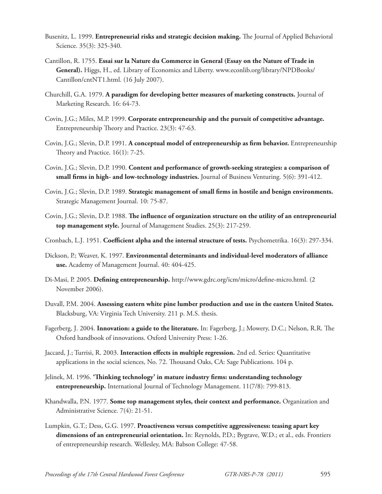- Busenitz, L. 1999. **Entrepreneurial risks and strategic decision making.** The Journal of Applied Behavioral Science. 35(3): 325-340.
- Cantillon, R. 1755. **Essai sur la Nature du Commerce in General (Essay on the Nature of Trade in General).** Higgs, H., ed. Library of Economics and Liberty. www.econlib.org/library/NPDBooks/ Cantillon/cntNT1.html. (16 July 2007).
- Churchill, G.A. 1979. **A paradigm for developing better measures of marketing constructs.** Journal of Marketing Research. 16: 64-73.
- Covin, J.G.; Miles, M.P. 1999. **Corporate entrepreneurship and the pursuit of competitive advantage.** Entrepreneurship Theory and Practice. 23(3): 47-63.
- Covin, J.G.; Slevin, D.P. 1991. A conceptual model of entrepreneurship as firm behavior. Entrepreneurship Theory and Practice.  $16(1)$ : 7-25.
- Covin, J.G.; Slevin, D.P. 1990. **Content and performance of growth-seeking strategies: a comparison of small firms in high- and low-technology industries.** Journal of Business Venturing. 5(6): 391-412.
- Covin, J.G.; Slevin, D.P. 1989. Strategic management of small firms in hostile and benign environments. Strategic Management Journal. 10: 75-87.
- Covin, J.G.; Slevin, D.P. 1988. **The influence of organization structure on the utility of an entrepreneurial top management style.** Journal of Management Studies. 25(3): 217-259.
- Cronbach, L.J. 1951. **Coefficient alpha and the internal structure of tests.** Psychometrika. 16(3): 297-334.
- Dickson, P.; Weaver, K. 1997. **Environmental determinants and individual-level moderators of alliance use.** Academy of Management Journal. 40: 404-425.
- Di-Masi, P. 2005. **Defining entrepreneurship.** http://www.gdrc.org/icm/micro/define-micro.html. (2) November 2006).
- Duvall, P.M. 2004. **Assessing eastern white pine lumber production and use in the eastern United States.** Blacksburg, VA: Virginia Tech University. 211 p. M.S. thesis.
- Fagerberg, J. 2004. **Innovation: a guide to the literature.** In: Fagerberg, J.; Mowery, D.C.; Nelson, R.R. The Oxford handbook of innovations. Oxford University Press: 1-26.
- Jaccard, J.; Turrisi, R. 2003. **Interaction effects in multiple regression.** 2nd ed. Series: Quantitative applications in the social sciences, No. 72. Thousand Oaks, CA: Sage Publications. 104 p.
- Jelinek, M. 1996. 'Thinking technology' in mature industry firms: understanding technology **entrepreneurship.** International Journal of Technology Management. 11(7/8): 799-813.
- Khandwalla, P.N. 1977. **Some top management styles, their context and performance.** Organization and Administrative Science. 7(4): 21-51.
- Lumpkin, G.T.; Dess, G.G. 1997. **Proactiveness versus competitive aggressiveness: teasing apart key dimensions of an entrepreneurial orientation.** In: Reynolds, P.D.; Bygrave, W.D.; et al., eds. Frontiers of entrepreneurship research. Wellesley, MA: Babson College: 47-58.